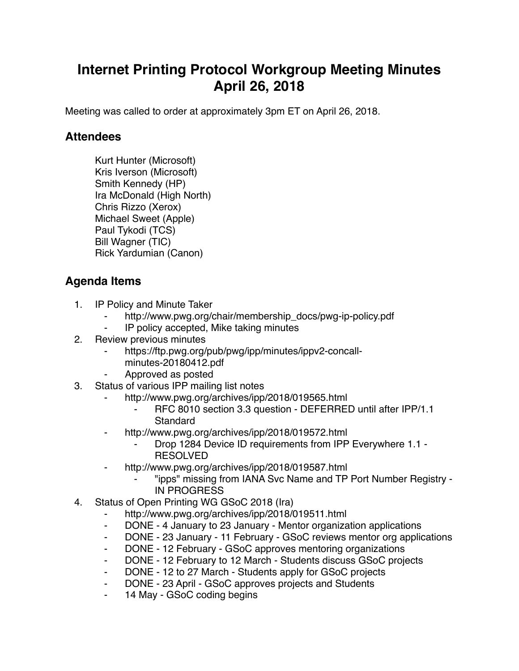## **Internet Printing Protocol Workgroup Meeting Minutes April 26, 2018**

Meeting was called to order at approximately 3pm ET on April 26, 2018.

## **Attendees**

Kurt Hunter (Microsoft) Kris Iverson (Microsoft) Smith Kennedy (HP) Ira McDonald (High North) Chris Rizzo (Xerox) Michael Sweet (Apple) Paul Tykodi (TCS) Bill Wagner (TIC) Rick Yardumian (Canon)

## **Agenda Items**

- 1. IP Policy and Minute Taker
	- http://www.pwg.org/chair/membership\_docs/pwg-ip-policy.pdf
	- ⁃ IP policy accepted, Mike taking minutes
- 2. Review previous minutes
	- https://ftp.pwg.org/pub/pwg/ipp/minutes/ippv2-concall
		- minutes-20180412.pdf
	- ⁃ Approved as posted
- 3. Status of various IPP mailing list notes
	- http://www.pwg.org/archives/ipp/2018/019565.html
		- RFC 8010 section 3.3 question DEFERRED until after IPP/1.1 **Standard**
		- http://www.pwg.org/archives/ipp/2018/019572.html
			- ⁃ Drop 1284 Device ID requirements from IPP Everywhere 1.1 RESOLVED
	- http://www.pwg.org/archives/ipp/2018/019587.html
		- ⁃ "ipps" missing from IANA Svc Name and TP Port Number Registry IN PROGRESS
- 4. Status of Open Printing WG GSoC 2018 (Ira)
	- http://www.pwg.org/archives/ipp/2018/019511.html
	- ⁃ DONE 4 January to 23 January Mentor organization applications
	- ⁃ DONE 23 January 11 February GSoC reviews mentor org applications
	- ⁃ DONE 12 February GSoC approves mentoring organizations
	- ⁃ DONE 12 February to 12 March Students discuss GSoC projects
	- DONE 12 to 27 March Students apply for GSoC projects
	- DONE 23 April GSoC approves projects and Students
	- 14 May GSoC coding begins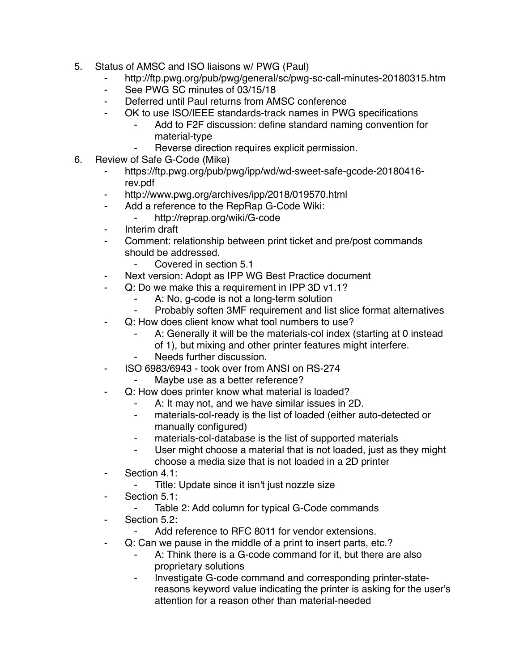- 5. Status of AMSC and ISO liaisons w/ PWG (Paul)
	- ⁃ http://ftp.pwg.org/pub/pwg/general/sc/pwg-sc-call-minutes-20180315.htm
	- See PWG SC minutes of 03/15/18
	- ⁃ Deferred until Paul returns from AMSC conference
	- OK to use ISO/IEEE standards-track names in PWG specifications
		- Add to F2F discussion: define standard naming convention for material-type
		- Reverse direction requires explicit permission.
- 6. Review of Safe G-Code (Mike)
	- https://ftp.pwg.org/pub/pwg/ipp/wd/wd-sweet-safe-gcode-20180416rev.pdf
	- ⁃ http://www.pwg.org/archives/ipp/2018/019570.html
	- ⁃ Add a reference to the RepRap G-Code Wiki:
		- ⁃ http://reprap.org/wiki/G-code
	- ⁃ Interim draft
	- Comment: relationship between print ticket and pre/post commands should be addressed.
		- ⁃ Covered in section 5.1
	- ⁃ Next version: Adopt as IPP WG Best Practice document
	- ⁃ Q: Do we make this a requirement in IPP 3D v1.1?
		- A: No, g-code is not a long-term solution<br>- Probably soften 3MF requirement and list
		- Probably soften 3MF requirement and list slice format alternatives
	- Q: How does client know what tool numbers to use?
		- A: Generally it will be the materials-col index (starting at 0 instead of 1), but mixing and other printer features might interfere.
		- Needs further discussion
	- ⁃ ISO 6983/6943 took over from ANSI on RS-274
		- Maybe use as a better reference?
	- Q: How does printer know what material is loaded?
		- A: It may not, and we have similar issues in 2D.
		- ⁃ materials-col-ready is the list of loaded (either auto-detected or manually configured)
		- materials-col-database is the list of supported materials
		- ⁃ User might choose a material that is not loaded, just as they might choose a media size that is not loaded in a 2D printer
	- ⁃ Section 4.1:
		- Title: Update since it isn't just nozzle size
	- ⁃ Section 5.1:
		- ⁃ Table 2: Add column for typical G-Code commands
	- Section 5.2:
		- Add reference to RFC 8011 for vendor extensions.
	- ⁃ Q: Can we pause in the middle of a print to insert parts, etc.?
		- A: Think there is a G-code command for it, but there are also proprietary solutions
		- ⁃ Investigate G-code command and corresponding printer-statereasons keyword value indicating the printer is asking for the user's attention for a reason other than material-needed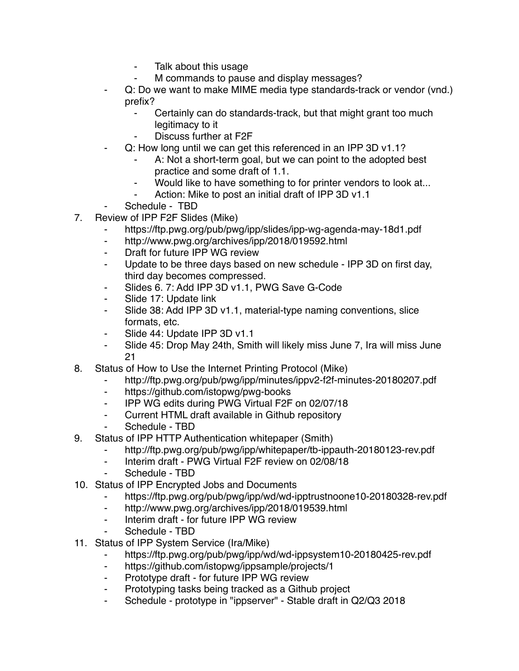- ⁃ Talk about this usage
- M commands to pause and display messages?
- Q: Do we want to make MIME media type standards-track or vendor (vnd.) prefix?
	- ⁃ Certainly can do standards-track, but that might grant too much legitimacy to it
	- Discuss further at F2F
- Q: How long until we can get this referenced in an IPP 3D v1.1?
	- A: Not a short-term goal, but we can point to the adopted best practice and some draft of 1.1.
	- Would like to have something to for printer vendors to look at...
	- Action: Mike to post an initial draft of IPP 3D v1.1
- Schedule TBD
- 7. Review of IPP F2F Slides (Mike)
	- https://ftp.pwg.org/pub/pwg/ipp/slides/ipp-wg-agenda-may-18d1.pdf
	- http://www.pwg.org/archives/ipp/2018/019592.html
	- ⁃ Draft for future IPP WG review
	- ⁃ Update to be three days based on new schedule IPP 3D on first day, third day becomes compressed.
	- ⁃ Slides 6. 7: Add IPP 3D v1.1, PWG Save G-Code
	- Slide 17: Update link
	- ⁃ Slide 38: Add IPP 3D v1.1, material-type naming conventions, slice formats, etc.
	- ⁃ Slide 44: Update IPP 3D v1.1
	- ⁃ Slide 45: Drop May 24th, Smith will likely miss June 7, Ira will miss June 21
- 8. Status of How to Use the Internet Printing Protocol (Mike)
	- http://ftp.pwg.org/pub/pwg/ipp/minutes/ippv2-f2f-minutes-20180207.pdf
	- ⁃ https://github.com/istopwg/pwg-books
	- ⁃ IPP WG edits during PWG Virtual F2F on 02/07/18
	- ⁃ Current HTML draft available in Github repository
	- Schedule TBD
- 9. Status of IPP HTTP Authentication whitepaper (Smith)
	- ⁃ http://ftp.pwg.org/pub/pwg/ipp/whitepaper/tb-ippauth-20180123-rev.pdf
	- ⁃ Interim draft PWG Virtual F2F review on 02/08/18
	- Schedule TBD
- 10. Status of IPP Encrypted Jobs and Documents
	- ⁃ https://ftp.pwg.org/pub/pwg/ipp/wd/wd-ipptrustnoone10-20180328-rev.pdf
	- ⁃ http://www.pwg.org/archives/ipp/2018/019539.html
	- ⁃ Interim draft for future IPP WG review
	- Schedule TBD
- 11. Status of IPP System Service (Ira/Mike)
	- https://ftp.pwg.org/pub/pwg/ipp/wd/wd-ippsystem10-20180425-rev.pdf
	- ⁃ https://github.com/istopwg/ippsample/projects/1
	- ⁃ Prototype draft for future IPP WG review
	- Prototyping tasks being tracked as a Github project
	- ⁃ Schedule prototype in "ippserver" Stable draft in Q2/Q3 2018